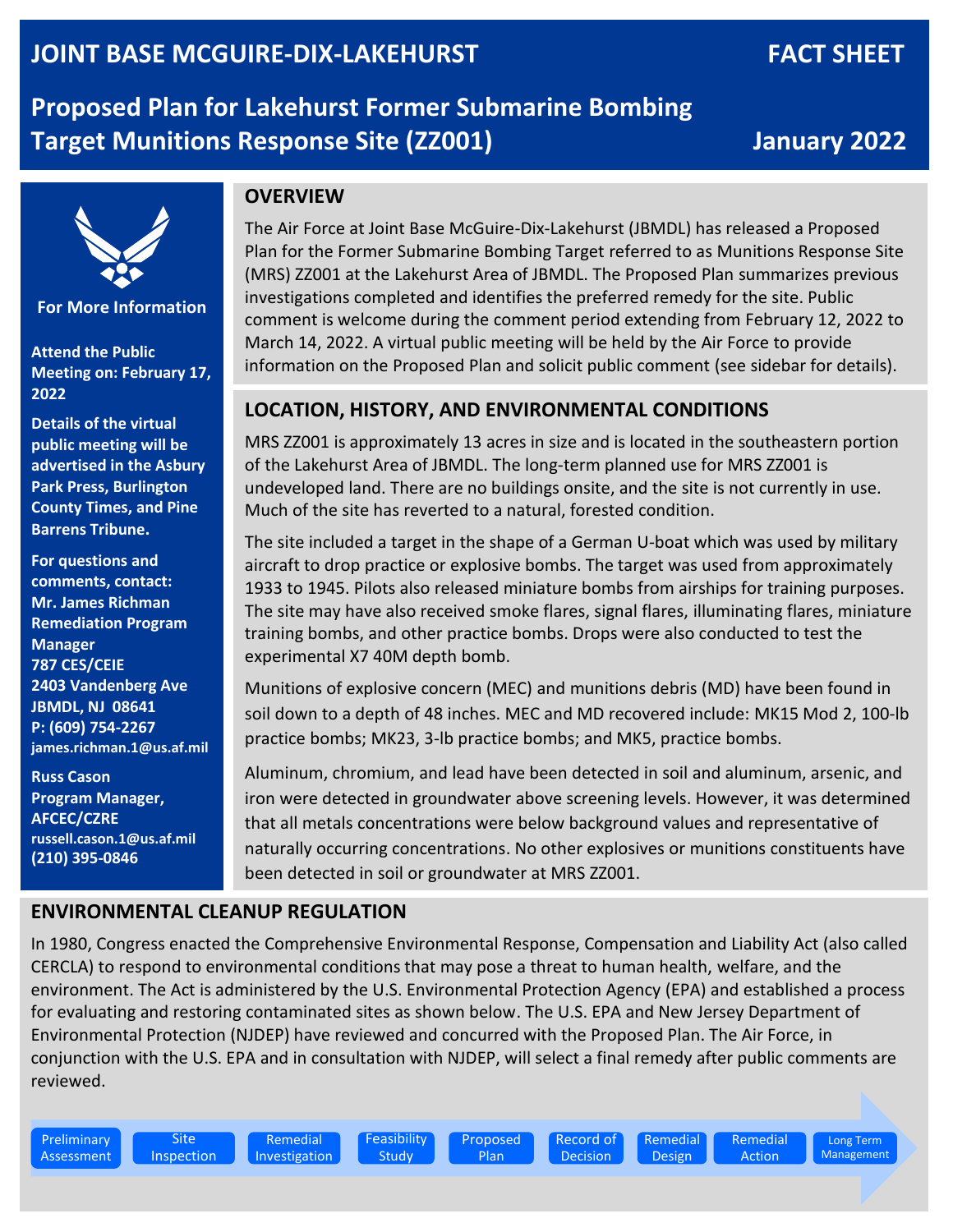# **McGuire Air Force Base FACT SHEET JOINT BASE MCGUIRE-DIX-LAKEHURST FACT SHEET**

**Proposed Plan for Lakehurst Former Submarine Bombing Target Munitions Response Site (ZZ001) January 2022**



**For More Information**

**Attend the Public Meeting on: February 17, 2022**

**Details of the virtual public meeting will be advertised in the Asbury Park Press, Burlington County Times, and Pine Barrens Tribune.**

**For questions and comments, contact: Mr. James Richman Remediation Program Manager 787 CES/CEIE 2403 Vandenberg Ave JBMDL, NJ 08641 P: (609) 754-2267 james.richman.1@us.af.mil**

**Russ Cason Program Manager, AFCEC/CZRE russell.cason.1@us.af.mil (210) 395-0846**

## **OVERVIEW**

The Air Force at Joint Base McGuire-Dix-Lakehurst (JBMDL) has released a Proposed Plan for the Former Submarine Bombing Target referred to as Munitions Response Site (MRS) ZZ001 at the Lakehurst Area of JBMDL. The Proposed Plan summarizes previous investigations completed and identifies the preferred remedy for the site. Public comment is welcome during the comment period extending from February 12, 2022 to March 14, 2022. A virtual public meeting will be held by the Air Force to provide information on the Proposed Plan and solicit public comment (see sidebar for details).

# **LOCATION, HISTORY, AND ENVIRONMENTAL CONDITIONS**

MRS ZZ001 is approximately 13 acres in size and is located in the southeastern portion of the Lakehurst Area of JBMDL. The long-term planned use for MRS ZZ001 is undeveloped land. There are no buildings onsite, and the site is not currently in use. Much of the site has reverted to a natural, forested condition.

The site included a target in the shape of a German U-boat which was used by military aircraft to drop practice or explosive bombs. The target was used from approximately 1933 to 1945. Pilots also released miniature bombs from airships for training purposes. The site may have also received smoke flares, signal flares, illuminating flares, miniature training bombs, and other practice bombs. Drops were also conducted to test the experimental X7 40M depth bomb.

Munitions of explosive concern (MEC) and munitions debris (MD) have been found in soil down to a depth of 48 inches. MEC and MD recovered include: MK15 Mod 2, 100-lb practice bombs; MK23, 3-lb practice bombs; and MK5, practice bombs.

Aluminum, chromium, and lead have been detected in soil and aluminum, arsenic, and iron were detected in groundwater above screening levels. However, it was determined that all metals concentrations were below background values and representative of naturally occurring concentrations. No other explosives or munitions constituents have been detected in soil or groundwater at MRS ZZ001.

#### **ENVIRONMENTAL CLEANUP REGULATION**

In 1980, Congress enacted the Comprehensive Environmental Response, Compensation and Liability Act (also called CERCLA) to respond to environmental conditions that may pose a threat to human health, welfare, and the environment. The Act is administered by the U.S. Environmental Protection Agency (EPA) and established a process for evaluating and restoring contaminated sites as shown below. The U.S. EPA and New Jersey Department of Environmental Protection (NJDEP) have reviewed and concurred with the Proposed Plan. The Air Force, in conjunction with the U.S. EPA and in consultation with NJDEP, will select a final remedy after public comments are reviewed.

Preliminary Assessment Feasibility **Study** 

Proposed Plan

Record of Decision Remedial Design



Long Term Management